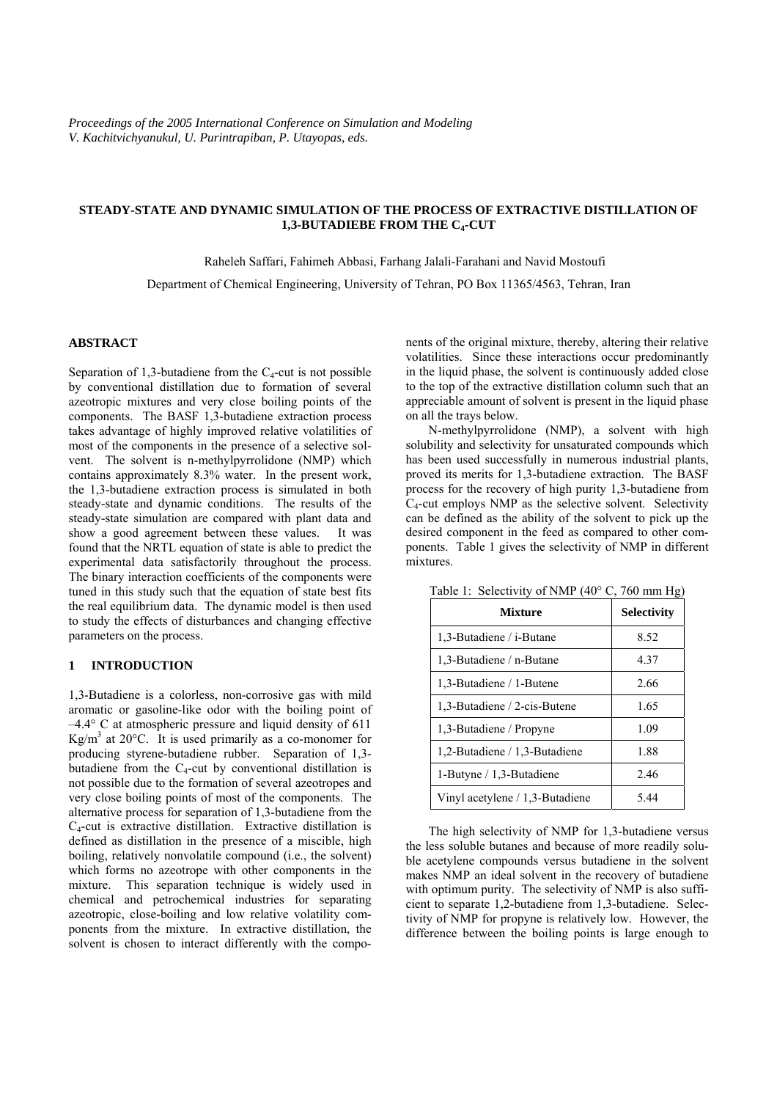# **STEADY-STATE AND DYNAMIC SIMULATION OF THE PROCESS OF EXTRACTIVE DISTILLATION OF 1,3-BUTADIEBE FROM THE C4-CUT**

Raheleh Saffari, Fahimeh Abbasi, Farhang Jalali-Farahani and Navid Mostoufi

Department of Chemical Engineering, University of Tehran, PO Box 11365/4563, Tehran, Iran

# **ABSTRACT**

Separation of 1,3-butadiene from the  $C_4$ -cut is not possible by conventional distillation due to formation of several azeotropic mixtures and very close boiling points of the components. The BASF 1,3-butadiene extraction process takes advantage of highly improved relative volatilities of most of the components in the presence of a selective solvent. The solvent is n-methylpyrrolidone (NMP) which contains approximately 8.3% water. In the present work, the 1,3-butadiene extraction process is simulated in both steady-state and dynamic conditions. The results of the steady-state simulation are compared with plant data and show a good agreement between these values. It was found that the NRTL equation of state is able to predict the experimental data satisfactorily throughout the process. The binary interaction coefficients of the components were tuned in this study such that the equation of state best fits the real equilibrium data. The dynamic model is then used to study the effects of disturbances and changing effective parameters on the process.

# **1 INTRODUCTION**

1,3-Butadiene is a colorless, non-corrosive gas with mild aromatic or gasoline-like odor with the boiling point of –4.4° C at atmospheric pressure and liquid density of 611  $Kg/m<sup>3</sup>$  at 20 $^{\circ}$ C. It is used primarily as a co-monomer for producing styrene-butadiene rubber. Separation of 1,3 butadiene from the  $C_4$ -cut by conventional distillation is not possible due to the formation of several azeotropes and very close boiling points of most of the components. The alternative process for separation of 1,3-butadiene from the C4-cut is extractive distillation. Extractive distillation is defined as distillation in the presence of a miscible, high boiling, relatively nonvolatile compound (i.e., the solvent) which forms no azeotrope with other components in the mixture. This separation technique is widely used in chemical and petrochemical industries for separating azeotropic, close-boiling and low relative volatility components from the mixture. In extractive distillation, the solvent is chosen to interact differently with the components of the original mixture, thereby, altering their relative volatilities. Since these interactions occur predominantly in the liquid phase, the solvent is continuously added close to the top of the extractive distillation column such that an appreciable amount of solvent is present in the liquid phase on all the trays below.

N-methylpyrrolidone (NMP), a solvent with high solubility and selectivity for unsaturated compounds which has been used successfully in numerous industrial plants, proved its merits for 1,3-butadiene extraction. The BASF process for the recovery of high purity 1,3-butadiene from C4-cut employs NMP as the selective solvent. Selectivity can be defined as the ability of the solvent to pick up the desired component in the feed as compared to other components. Table 1 gives the selectivity of NMP in different mixtures.

| <b>Mixture</b>                    | <b>Selectivity</b> |
|-----------------------------------|--------------------|
| 1,3-Butadiene / i-Butane          | 8.52               |
| 1.3-Butadiene / n-Butane          | 4.37               |
| 1,3-Butadiene / 1-Butene          | 2.66               |
| 1.3-Butadiene / 2-cis-Butene      | 1.65               |
| 1,3-Butadiene / Propyne           | 1.09               |
| 1,2-Butadiene / 1,3-Butadiene     | 1.88               |
| 1-Butyne / 1,3-Butadiene          | 2.46               |
| Vinyl acetylene $/1,3$ -Butadiene | 5.44               |

Table 1: Selectivity of NMP (40° C, 760 mm Hg)

The high selectivity of NMP for 1,3-butadiene versus the less soluble butanes and because of more readily soluble acetylene compounds versus butadiene in the solvent makes NMP an ideal solvent in the recovery of butadiene with optimum purity. The selectivity of NMP is also sufficient to separate 1,2-butadiene from 1,3-butadiene. Selectivity of NMP for propyne is relatively low. However, the difference between the boiling points is large enough to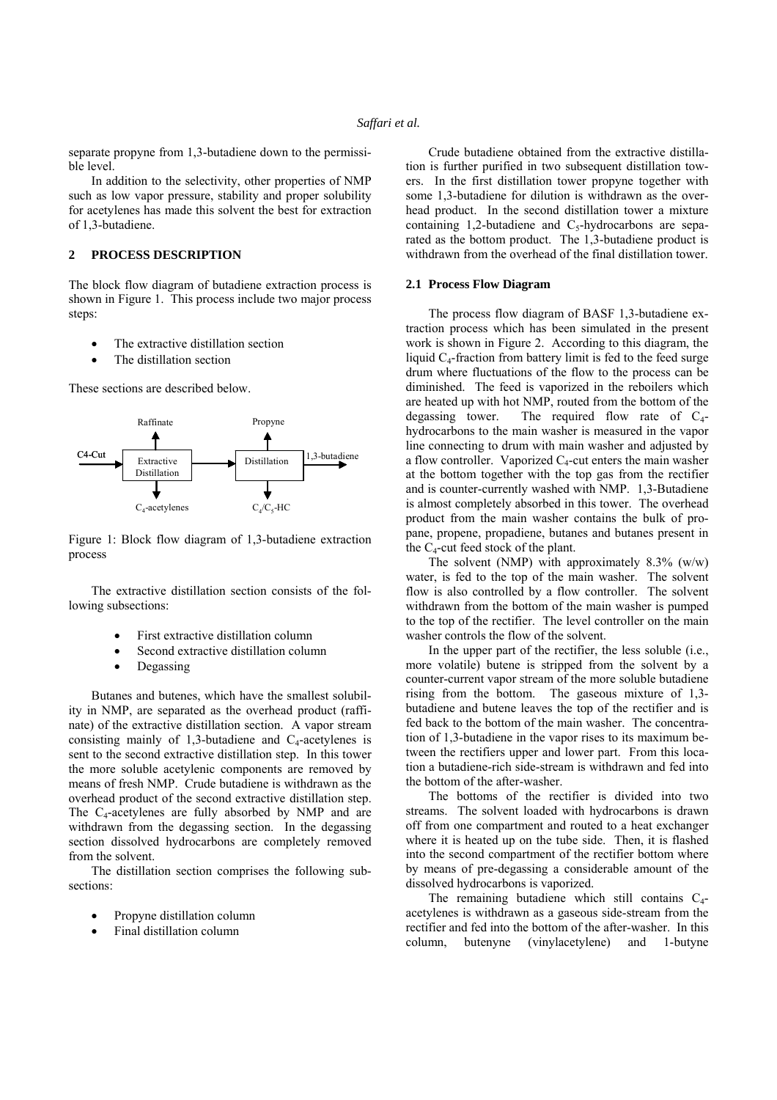separate propyne from 1.3-butadiene down to the permissible level.

In addition to the selectivity, other properties of NMP such as low vapor pressure, stability and proper solubility for acetylenes has made this solvent the best for extraction of 1,3-butadiene.

### **2 PROCESS DESCRIPTION**

The block flow diagram of butadiene extraction process is shown in Figure 1. This process include two major process steps:

- The extractive distillation section
- The distillation section

These sections are described below.



Figure 1: Block flow diagram of 1,3-butadiene extraction process

The extractive distillation section consists of the following subsections:

- First extractive distillation column
- Second extractive distillation column
- Degassing

Butanes and butenes, which have the smallest solubility in NMP, are separated as the overhead product (raffinate) of the extractive distillation section. A vapor stream consisting mainly of 1,3-butadiene and  $C_4$ -acetylenes is sent to the second extractive distillation step. In this tower the more soluble acetylenic components are removed by means of fresh NMP. Crude butadiene is withdrawn as the overhead product of the second extractive distillation step. The  $C_4$ -acetylenes are fully absorbed by NMP and are withdrawn from the degassing section. In the degassing section dissolved hydrocarbons are completely removed from the solvent.

The distillation section comprises the following subsections:

- Propyne distillation column
- Final distillation column

Crude butadiene obtained from the extractive distillation is further purified in two subsequent distillation towers. In the first distillation tower propyne together with some 1,3-butadiene for dilution is withdrawn as the overhead product. In the second distillation tower a mixture containing 1,2-butadiene and  $C_5$ -hydrocarbons are separated as the bottom product. The 1,3-butadiene product is withdrawn from the overhead of the final distillation tower.

### **2.1 Process Flow Diagram**

The process flow diagram of BASF 1,3-butadiene extraction process which has been simulated in the present work is shown in Figure 2. According to this diagram, the liquid  $C_4$ -fraction from battery limit is fed to the feed surge drum where fluctuations of the flow to the process can be diminished. The feed is vaporized in the reboilers which are heated up with hot NMP, routed from the bottom of the degassing tower. The required flow rate of  $C_4$ hydrocarbons to the main washer is measured in the vapor line connecting to drum with main washer and adjusted by a flow controller. Vaporized  $C_4$ -cut enters the main washer at the bottom together with the top gas from the rectifier and is counter-currently washed with NMP. 1,3-Butadiene is almost completely absorbed in this tower. The overhead product from the main washer contains the bulk of propane, propene, propadiene, butanes and butanes present in the  $C_4$ -cut feed stock of the plant.

The solvent (NMP) with approximately  $8.3\%$  (w/w) water, is fed to the top of the main washer. The solvent flow is also controlled by a flow controller. The solvent withdrawn from the bottom of the main washer is pumped to the top of the rectifier. The level controller on the main washer controls the flow of the solvent.

In the upper part of the rectifier, the less soluble (i.e., more volatile) butene is stripped from the solvent by a counter-current vapor stream of the more soluble butadiene rising from the bottom. The gaseous mixture of 1,3 butadiene and butene leaves the top of the rectifier and is fed back to the bottom of the main washer. The concentration of 1,3-butadiene in the vapor rises to its maximum between the rectifiers upper and lower part. From this location a butadiene-rich side-stream is withdrawn and fed into the bottom of the after-washer.

The bottoms of the rectifier is divided into two streams. The solvent loaded with hydrocarbons is drawn off from one compartment and routed to a heat exchanger where it is heated up on the tube side. Then, it is flashed into the second compartment of the rectifier bottom where by means of pre-degassing a considerable amount of the dissolved hydrocarbons is vaporized.

The remaining butadiene which still contains  $C_4$ acetylenes is withdrawn as a gaseous side-stream from the rectifier and fed into the bottom of the after-washer. In this column, butenyne (vinylacetylene) and 1-butyne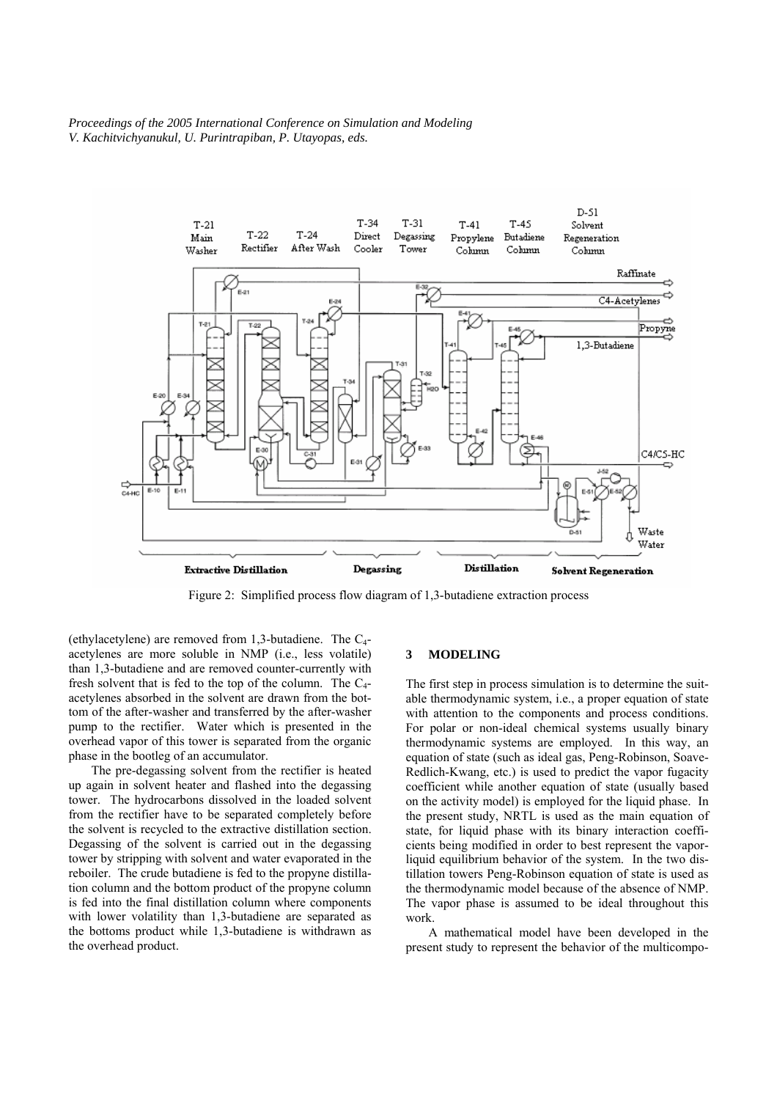*Proceedings of the 2005 International Conference on Simulation and Modeling V. Kachitvichyanukul, U. Purintrapiban, P. Utayopas, eds.* 



Figure 2: Simplified process flow diagram of 1,3-butadiene extraction process

(ethylacetylene) are removed from 1,3-butadiene. The  $C_4$ acetylenes are more soluble in NMP (i.e., less volatile) than 1,3-butadiene and are removed counter-currently with fresh solvent that is fed to the top of the column. The  $C_4$ acetylenes absorbed in the solvent are drawn from the bottom of the after-washer and transferred by the after-washer pump to the rectifier. Water which is presented in the overhead vapor of this tower is separated from the organic phase in the bootleg of an accumulator.

The pre-degassing solvent from the rectifier is heated up again in solvent heater and flashed into the degassing tower. The hydrocarbons dissolved in the loaded solvent from the rectifier have to be separated completely before the solvent is recycled to the extractive distillation section. Degassing of the solvent is carried out in the degassing tower by stripping with solvent and water evaporated in the reboiler. The crude butadiene is fed to the propyne distillation column and the bottom product of the propyne column is fed into the final distillation column where components with lower volatility than 1,3-butadiene are separated as the bottoms product while 1,3-butadiene is withdrawn as the overhead product.

#### **3 MODELING**

The first step in process simulation is to determine the suitable thermodynamic system, i.e., a proper equation of state with attention to the components and process conditions. For polar or non-ideal chemical systems usually binary thermodynamic systems are employed. In this way, an equation of state (such as ideal gas, Peng-Robinson, Soave-Redlich-Kwang, etc.) is used to predict the vapor fugacity coefficient while another equation of state (usually based on the activity model) is employed for the liquid phase. In the present study, NRTL is used as the main equation of state, for liquid phase with its binary interaction coefficients being modified in order to best represent the vaporliquid equilibrium behavior of the system. In the two distillation towers Peng-Robinson equation of state is used as the thermodynamic model because of the absence of NMP. The vapor phase is assumed to be ideal throughout this work.

A mathematical model have been developed in the present study to represent the behavior of the multicompo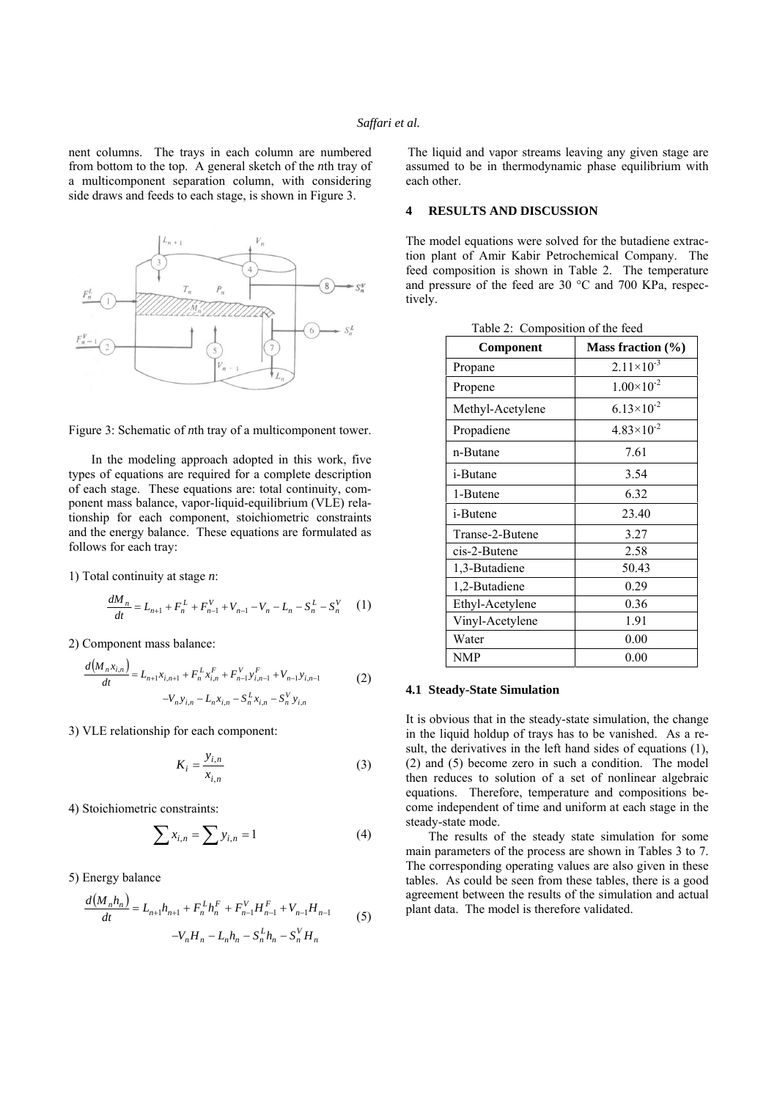nent columns. The trays in each column are numbered from bottom to the top. A general sketch of the *n*th tray of a multicomponent separation column, with considering side draws and feeds to each stage, is shown in Figure 3.





In the modeling approach adopted in this work, five types of equations are required for a complete description of each stage. These equations are: total continuity, component mass balance, vapor-liquid-equilibrium (VLE) relationship for each component, stoichiometric constraints and the energy balance. These equations are formulated as follows for each tray:

1) Total continuity at stage *n*:

$$
\frac{dM_n}{dt} = L_{n+1} + F_n^L + F_{n-1}^V + V_{n-1} - V_n - L_n - S_n^L - S_n^V \tag{1}
$$

2) Component mass balance:

$$
\frac{d(M_n x_{i,n})}{dt} = L_{n+1} x_{i,n+1} + F_n^L x_{i,n}^F + F_{n-1}^V y_{i,n-1}^F + V_{n-1} y_{i,n-1}
$$
\n
$$
-V_n y_{i,n} - L_n x_{i,n} - S_n^L x_{i,n} - S_n^V y_{i,n}
$$
\n
$$
(2)
$$

3) VLE relationship for each component:

$$
K_i = \frac{y_{i,n}}{x_{i,n}}\tag{3}
$$

4) Stoichiometric constraints:

$$
\sum x_{i,n} = \sum y_{i,n} = 1 \tag{4}
$$

5) Energy balance

$$
\frac{d(M_n h_n)}{dt} = L_{n+1} h_{n+1} + F_n^L h_n^F + F_{n-1}^V H_{n-1}^F + V_{n-1} H_{n-1}
$$
\n
$$
-V_n H_n - L_n h_n - S_n^L h_n - S_n^V H_n
$$
\n(5)

The liquid and vapor streams leaving any given stage are assumed to be in thermodynamic phase equilibrium with each other.

# **4 RESULTS AND DISCUSSION**

The model equations were solved for the butadiene extraction plant of Amir Kabir Petrochemical Company. The feed composition is shown in Table 2. The temperature and pressure of the feed are 30 °C and 700 KPa, respectively.

| Component        | Mass fraction $(\% )$ |
|------------------|-----------------------|
| Propane          | $2.11 \times 10^{-3}$ |
| Propene          | $1.00 \times 10^{-2}$ |
| Methyl-Acetylene | $6.13\times10^{-2}$   |
| Propadiene       | $4.83 \times 10^{-2}$ |
| n-Butane         | 7.61                  |
| i-Butane         | 3.54                  |
| 1-Butene         | 6.32                  |
| <i>i</i> -Butene | 23.40                 |
| Transe-2-Butene  | 3.27                  |
| cis-2-Butene     | 2.58                  |
| 1,3-Butadiene    | 50.43                 |
| 1,2-Butadiene    | 0.29                  |
| Ethyl-Acetylene  | 0.36                  |
| Vinyl-Acetylene  | 1.91                  |
| Water            | 0.00                  |
| <b>NMP</b>       | 0.00                  |

 $C_1$   $C_2$   $C_3$   $C_4$ 

#### **4.1 Steady-State Simulation**

It is obvious that in the steady-state simulation, the change in the liquid holdup of trays has to be vanished. As a result, the derivatives in the left hand sides of equations (1), (2) and (5) become zero in such a condition. The model then reduces to solution of a set of nonlinear algebraic equations. Therefore, temperature and compositions become independent of time and uniform at each stage in the steady-state mode.

The results of the steady state simulation for some main parameters of the process are shown in Tables 3 to 7. The corresponding operating values are also given in these tables. As could be seen from these tables, there is a good agreement between the results of the simulation and actual plant data. The model is therefore validated.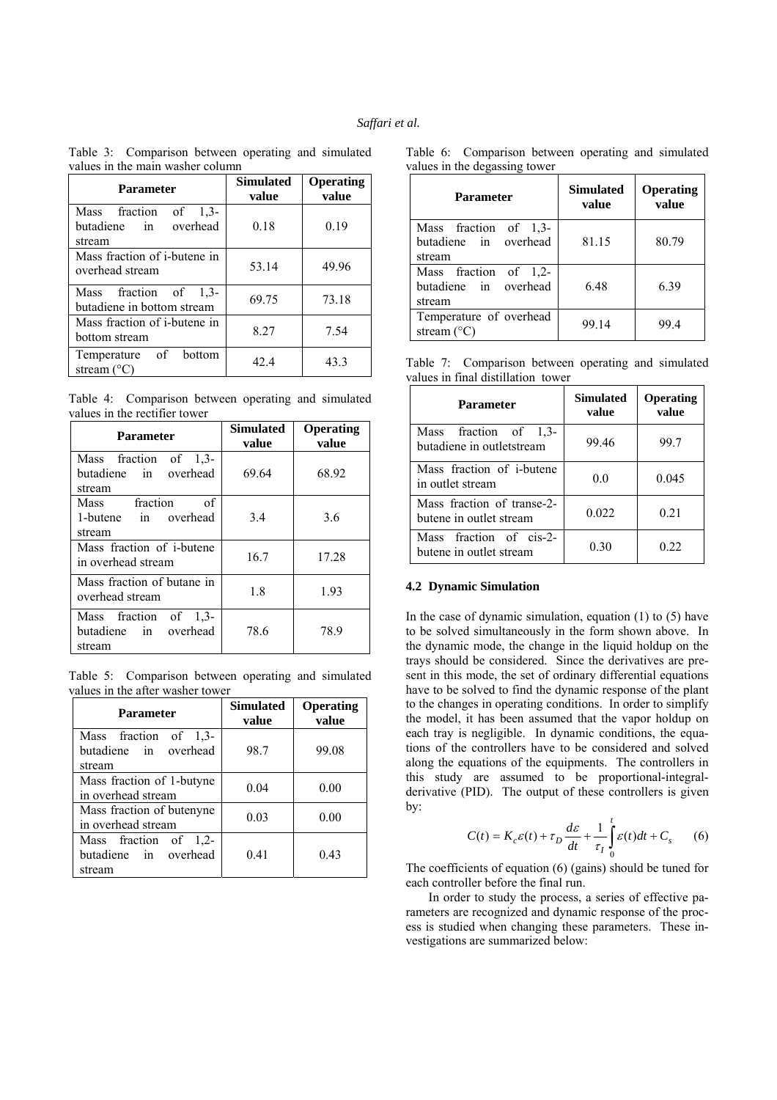|                                  | Table 3: Comparison between operating and simulated |  |  |  |  |
|----------------------------------|-----------------------------------------------------|--|--|--|--|
| values in the main washer column |                                                     |  |  |  |  |
|                                  |                                                     |  |  |  |  |

| <b>Parameter</b>                                         | <b>Simulated</b><br>value | Operating<br>value |
|----------------------------------------------------------|---------------------------|--------------------|
| Mass fraction of 1,3-<br>butadiene in overhead<br>stream | 0.18                      | 0.19               |
| Mass fraction of <i>i</i> -butene in<br>overhead stream  | 53.14                     | 49.96              |
| Mass fraction of $1,3$ -<br>butadiene in bottom stream   | 69.75                     | 73.18              |
| Mass fraction of <i>i</i> -butene in<br>bottom stream    | 8.27                      | 7.54               |
| Temperature of bottom<br>stream $(^{\circ}C)$            | 42.4                      | 43.3               |

Table 4: Comparison between operating and simulated values in the rectifier tower

| <b>Parameter</b>                                         | Simulated<br>value | Operating<br>value |
|----------------------------------------------------------|--------------------|--------------------|
| Mass fraction of 1,3-<br>butadiene in overhead<br>stream | 69.64              | 68.92              |
| fraction<br>of<br>Mass<br>1-butene in overhead<br>stream | 3.4                | 3.6                |
| Mass fraction of <i>i</i> -butene<br>in overhead stream  | 16.7               | 17.28              |
| Mass fraction of butane in<br>overhead stream            | 1.8                | 1.93               |
| Mass fraction of 1,3-<br>butadiene in overhead<br>stream | 78.6               | 78.9               |

Table 5: Comparison between operating and simulated values in the after washer tower

| Parameter                                                | <b>Simulated</b><br>value | <b>Operating</b><br>value |
|----------------------------------------------------------|---------------------------|---------------------------|
| Mass fraction of 1,3-<br>butadiene in overhead<br>stream | 98.7                      | 99.08                     |
| Mass fraction of 1-butyne<br>in overhead stream          | 0.04                      | 0.00                      |
| Mass fraction of butenyne<br>in overhead stream          | 0.03                      | 0.00                      |
| Mass fraction of 1,2-<br>butadiene in overhead<br>stream | 0.41                      | 0.43                      |

Table 6: Comparison between operating and simulated values in the degassing tower

| <b>Parameter</b>                                         | <b>Simulated</b><br>value | <b>Operating</b><br>value |
|----------------------------------------------------------|---------------------------|---------------------------|
| Mass fraction of 1,3-<br>butadiene in overhead<br>stream | 81.15                     | 80.79                     |
| Mass fraction of 1,2-<br>butadiene in overhead<br>stream | 6.48                      | 6.39                      |
| Temperature of overhead<br>stream $(^{\circ}C)$          | 99.14                     | 99.4                      |

Table 7: Comparison between operating and simulated values in final distillation tower

| <b>Parameter</b>                                      | <b>Simulated</b><br>value | <b>Operating</b><br>value |
|-------------------------------------------------------|---------------------------|---------------------------|
| Mass fraction of 1.3-<br>butadiene in outletstream    | 99.46                     | 99.7                      |
| Mass fraction of <i>i</i> -butene<br>in outlet stream | 0.0                       | 0.045                     |
| Mass fraction of transe-2-<br>butene in outlet stream | 0.022                     | 0.21                      |
| Mass fraction of cis-2-<br>butene in outlet stream    | 0.30                      | 0.22                      |

## **4.2 Dynamic Simulation**

In the case of dynamic simulation, equation  $(1)$  to  $(5)$  have to be solved simultaneously in the form shown above. In the dynamic mode, the change in the liquid holdup on the trays should be considered. Since the derivatives are present in this mode, the set of ordinary differential equations have to be solved to find the dynamic response of the plant to the changes in operating conditions. In order to simplify the model, it has been assumed that the vapor holdup on each tray is negligible. In dynamic conditions, the equations of the controllers have to be considered and solved along the equations of the equipments. The controllers in this study are assumed to be proportional-integralderivative (PID). The output of these controllers is given by:

$$
C(t) = K_c \varepsilon(t) + \tau_D \frac{d\varepsilon}{dt} + \frac{1}{\tau_I} \int_0^t \varepsilon(t) dt + C_s \qquad (6)
$$

The coefficients of equation (6) (gains) should be tuned for each controller before the final run.

In order to study the process, a series of effective parameters are recognized and dynamic response of the process is studied when changing these parameters. These investigations are summarized below: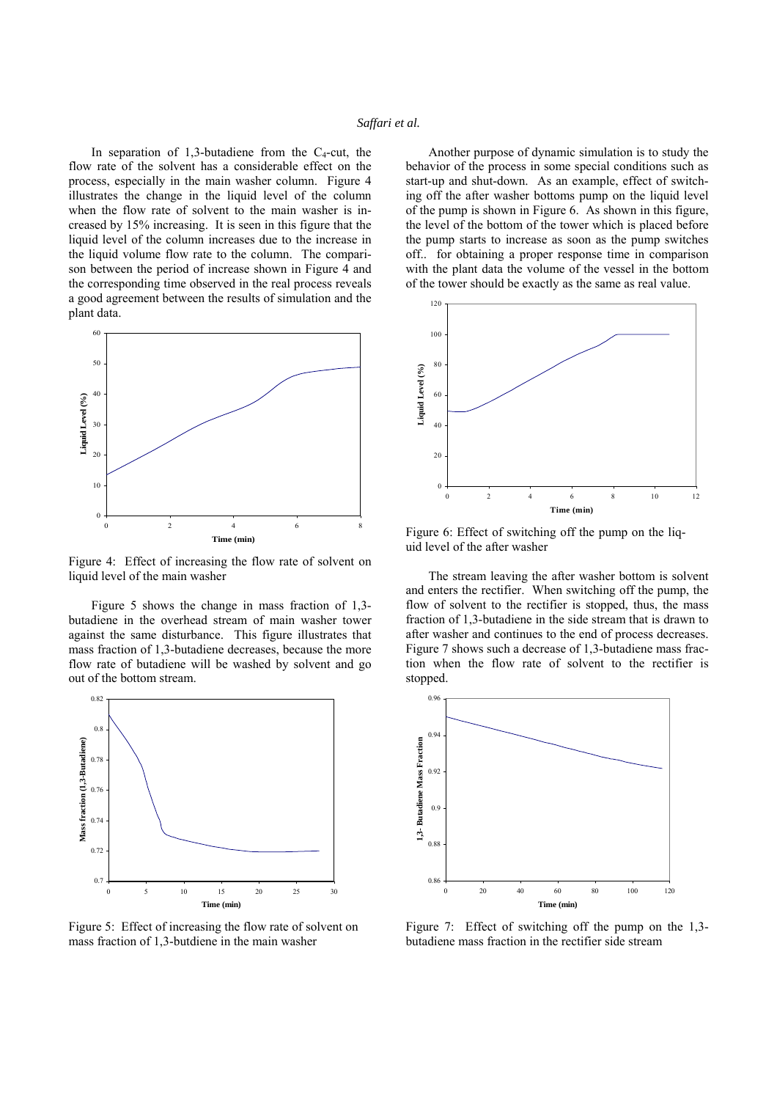### *Saffari et al.*

In separation of 1,3-butadiene from the  $C_4$ -cut, the flow rate of the solvent has a considerable effect on the process, especially in the main washer column. Figure 4 illustrates the change in the liquid level of the column when the flow rate of solvent to the main washer is increased by 15% increasing. It is seen in this figure that the liquid level of the column increases due to the increase in the liquid volume flow rate to the column. The comparison between the period of increase shown in Figure 4 and the corresponding time observed in the real process reveals a good agreement between the results of simulation and the plant data.



Figure 4: Effect of increasing the flow rate of solvent on liquid level of the main washer

Figure 5 shows the change in mass fraction of 1,3 butadiene in the overhead stream of main washer tower against the same disturbance. This figure illustrates that mass fraction of 1,3-butadiene decreases, because the more flow rate of butadiene will be washed by solvent and go out of the bottom stream.



Figure 5: Effect of increasing the flow rate of solvent on mass fraction of 1,3-butdiene in the main washer

Another purpose of dynamic simulation is to study the behavior of the process in some special conditions such as start-up and shut-down. As an example, effect of switching off the after washer bottoms pump on the liquid level of the pump is shown in Figure 6. As shown in this figure, the level of the bottom of the tower which is placed before the pump starts to increase as soon as the pump switches off.. for obtaining a proper response time in comparison with the plant data the volume of the vessel in the bottom of the tower should be exactly as the same as real value.



Figure 6: Effect of switching off the pump on the liquid level of the after washer

The stream leaving the after washer bottom is solvent and enters the rectifier. When switching off the pump, the flow of solvent to the rectifier is stopped, thus, the mass fraction of 1,3-butadiene in the side stream that is drawn to after washer and continues to the end of process decreases. Figure 7 shows such a decrease of 1,3-butadiene mass fraction when the flow rate of solvent to the rectifier is stopped.



Figure 7: Effect of switching off the pump on the 1,3 butadiene mass fraction in the rectifier side stream